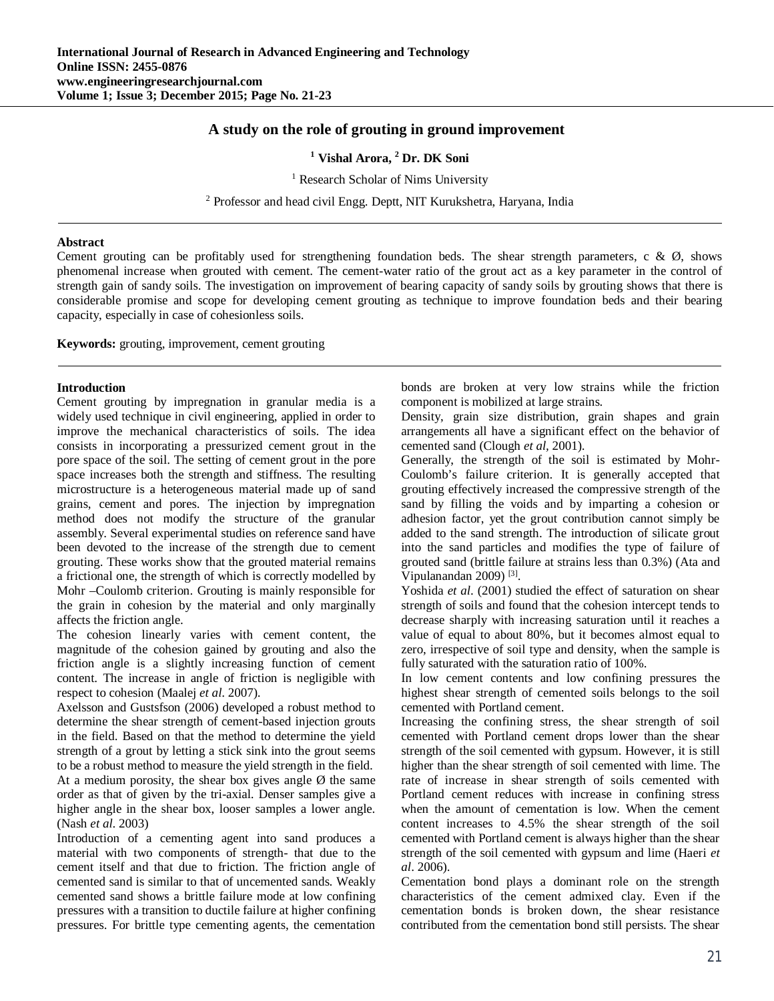# **A study on the role of grouting in ground improvement**

**<sup>1</sup> Vishal Arora, <sup>2</sup> Dr. DK Soni**

<sup>1</sup> Research Scholar of Nims University

<sup>2</sup> Professor and head civil Engg. Deptt, NIT Kurukshetra, Haryana, India

#### **Abstract**

Cement grouting can be profitably used for strengthening foundation beds. The shear strength parameters, c &  $\varnothing$ , shows phenomenal increase when grouted with cement. The cement-water ratio of the grout act as a key parameter in the control of strength gain of sandy soils. The investigation on improvement of bearing capacity of sandy soils by grouting shows that there is considerable promise and scope for developing cement grouting as technique to improve foundation beds and their bearing capacity, especially in case of cohesionless soils.

**Keywords:** grouting, improvement, cement grouting

#### **Introduction**

Cement grouting by impregnation in granular media is a widely used technique in civil engineering, applied in order to improve the mechanical characteristics of soils. The idea consists in incorporating a pressurized cement grout in the pore space of the soil. The setting of cement grout in the pore space increases both the strength and stiffness. The resulting microstructure is a heterogeneous material made up of sand grains, cement and pores. The injection by impregnation method does not modify the structure of the granular assembly. Several experimental studies on reference sand have been devoted to the increase of the strength due to cement grouting. These works show that the grouted material remains a frictional one, the strength of which is correctly modelled by Mohr –Coulomb criterion. Grouting is mainly responsible for the grain in cohesion by the material and only marginally affects the friction angle.

The cohesion linearly varies with cement content, the magnitude of the cohesion gained by grouting and also the friction angle is a slightly increasing function of cement content. The increase in angle of friction is negligible with respect to cohesion (Maalej *et al*. 2007).

Axelsson and Gustsfson (2006) developed a robust method to determine the shear strength of cement-based injection grouts in the field. Based on that the method to determine the yield strength of a grout by letting a stick sink into the grout seems to be a robust method to measure the yield strength in the field. At a medium porosity, the shear box gives angle  $\emptyset$  the same order as that of given by the tri-axial. Denser samples give a higher angle in the shear box, looser samples a lower angle. (Nash *et al*. 2003)

Introduction of a cementing agent into sand produces a material with two components of strength- that due to the cement itself and that due to friction. The friction angle of cemented sand is similar to that of uncemented sands. Weakly cemented sand shows a brittle failure mode at low confining pressures with a transition to ductile failure at higher confining pressures. For brittle type cementing agents, the cementation

bonds are broken at very low strains while the friction component is mobilized at large strains.

Density, grain size distribution, grain shapes and grain arrangements all have a significant effect on the behavior of cemented sand (Clough *et al,* 2001).

Generally, the strength of the soil is estimated by Mohr-Coulomb's failure criterion. It is generally accepted that grouting effectively increased the compressive strength of the sand by filling the voids and by imparting a cohesion or adhesion factor, yet the grout contribution cannot simply be added to the sand strength. The introduction of silicate grout into the sand particles and modifies the type of failure of grouted sand (brittle failure at strains less than 0.3%) (Ata and Vipulanandan 2009)<sup>[3]</sup>.

Yoshida *et al*. (2001) studied the effect of saturation on shear strength of soils and found that the cohesion intercept tends to decrease sharply with increasing saturation until it reaches a value of equal to about 80%, but it becomes almost equal to zero, irrespective of soil type and density, when the sample is fully saturated with the saturation ratio of 100%.

In low cement contents and low confining pressures the highest shear strength of cemented soils belongs to the soil cemented with Portland cement.

Increasing the confining stress, the shear strength of soil cemented with Portland cement drops lower than the shear strength of the soil cemented with gypsum. However, it is still higher than the shear strength of soil cemented with lime. The rate of increase in shear strength of soils cemented with Portland cement reduces with increase in confining stress when the amount of cementation is low. When the cement content increases to 4.5% the shear strength of the soil cemented with Portland cement is always higher than the shear strength of the soil cemented with gypsum and lime (Haeri *et al*. 2006).

Cementation bond plays a dominant role on the strength characteristics of the cement admixed clay. Even if the cementation bonds is broken down, the shear resistance contributed from the cementation bond still persists. The shear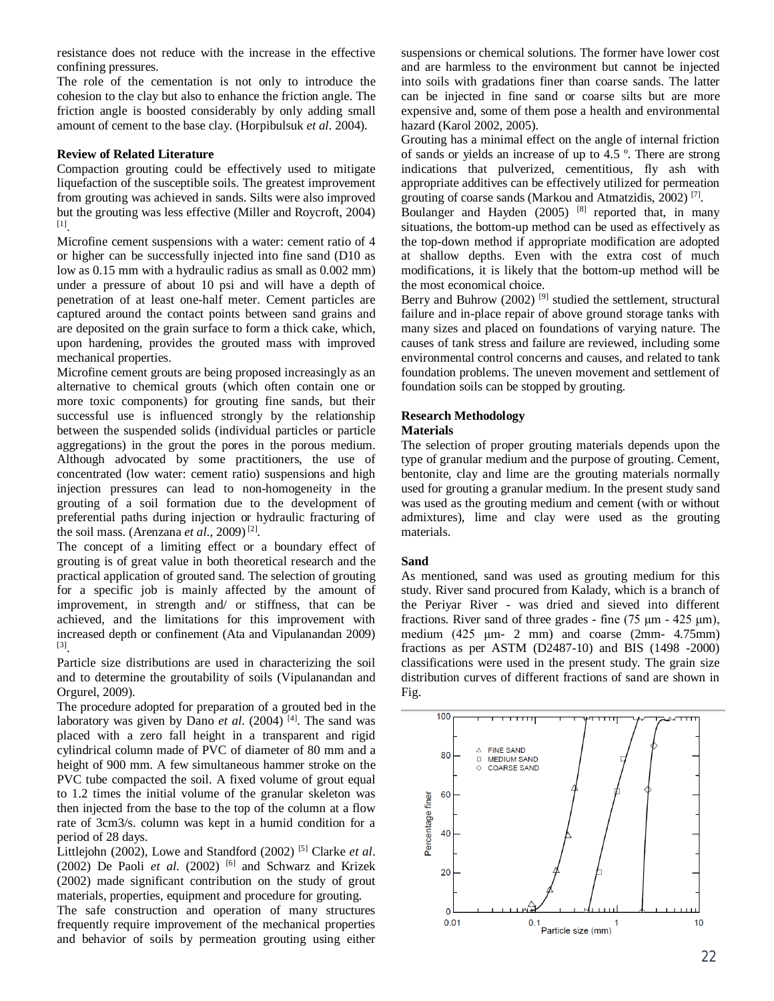resistance does not reduce with the increase in the effective confining pressures.

The role of the cementation is not only to introduce the cohesion to the clay but also to enhance the friction angle. The friction angle is boosted considerably by only adding small amount of cement to the base clay. (Horpibulsuk *et al*. 2004).

# **Review of Related Literature**

Compaction grouting could be effectively used to mitigate liquefaction of the susceptible soils. The greatest improvement from grouting was achieved in sands. Silts were also improved but the grouting was less effective (Miller and Roycroft, 2004) [1] .

Microfine cement suspensions with a water: cement ratio of 4 or higher can be successfully injected into fine sand (D10 as low as 0.15 mm with a hydraulic radius as small as 0.002 mm) under a pressure of about 10 psi and will have a depth of penetration of at least one-half meter. Cement particles are captured around the contact points between sand grains and are deposited on the grain surface to form a thick cake, which, upon hardening, provides the grouted mass with improved mechanical properties.

Microfine cement grouts are being proposed increasingly as an alternative to chemical grouts (which often contain one or more toxic components) for grouting fine sands, but their successful use is influenced strongly by the relationship between the suspended solids (individual particles or particle aggregations) in the grout the pores in the porous medium. Although advocated by some practitioners, the use of concentrated (low water: cement ratio) suspensions and high injection pressures can lead to non-homogeneity in the grouting of a soil formation due to the development of preferential paths during injection or hydraulic fracturing of the soil mass. (Arenzana *et al*., 2009) [2] .

The concept of a limiting effect or a boundary effect of grouting is of great value in both theoretical research and the practical application of grouted sand. The selection of grouting for a specific job is mainly affected by the amount of improvement, in strength and/ or stiffness, that can be achieved, and the limitations for this improvement with increased depth or confinement (Ata and Vipulanandan 2009) [3] .

Particle size distributions are used in characterizing the soil and to determine the groutability of soils (Vipulanandan and Orgurel, 2009).

The procedure adopted for preparation of a grouted bed in the laboratory was given by Dano *et al.* (2004) <sup>[4]</sup>. The sand was placed with a zero fall height in a transparent and rigid cylindrical column made of PVC of diameter of 80 mm and a height of 900 mm. A few simultaneous hammer stroke on the PVC tube compacted the soil. A fixed volume of grout equal to 1.2 times the initial volume of the granular skeleton was then injected from the base to the top of the column at a flow rate of 3cm3/s. column was kept in a humid condition for a period of 28 days.

Littlejohn (2002), Lowe and Standford (2002) [5] Clarke *et al*. (2002) De Paoli  $et$   $al.$  (2002)<sup>[6]</sup> and Schwarz and Krizek (2002) made significant contribution on the study of grout materials, properties, equipment and procedure for grouting.

The safe construction and operation of many structures frequently require improvement of the mechanical properties and behavior of soils by permeation grouting using either

suspensions or chemical solutions. The former have lower cost and are harmless to the environment but cannot be injected into soils with gradations finer than coarse sands. The latter can be injected in fine sand or coarse silts but are more expensive and, some of them pose a health and environmental hazard (Karol 2002, 2005).

Grouting has a minimal effect on the angle of internal friction of sands or yields an increase of up to 4.5 º. There are strong indications that pulverized, cementitious, fly ash with appropriate additives can be effectively utilized for permeation grouting of coarse sands (Markou and Atmatzidis, 2002)<sup>[7]</sup>.

Boulanger and Hayden  $(2005)$  <sup>[8]</sup> reported that, in many situations, the bottom-up method can be used as effectively as the top-down method if appropriate modification are adopted at shallow depths. Even with the extra cost of much modifications, it is likely that the bottom-up method will be the most economical choice.

Berry and Buhrow  $(2002)$ <sup>[9]</sup> studied the settlement, structural failure and in-place repair of above ground storage tanks with many sizes and placed on foundations of varying nature. The causes of tank stress and failure are reviewed, including some environmental control concerns and causes, and related to tank foundation problems. The uneven movement and settlement of foundation soils can be stopped by grouting.

# **Research Methodology**

### **Materials**

The selection of proper grouting materials depends upon the type of granular medium and the purpose of grouting. Cement, bentonite, clay and lime are the grouting materials normally used for grouting a granular medium. In the present study sand was used as the grouting medium and cement (with or without admixtures), lime and clay were used as the grouting materials.

# **Sand**

As mentioned, sand was used as grouting medium for this study. River sand procured from Kalady, which is a branch of the Periyar River - was dried and sieved into different fractions. River sand of three grades - fine  $(75 \text{ µm} - 425 \text{ µm})$ , medium (425 μm- 2 mm) and coarse (2mm- 4.75mm) fractions as per ASTM (D2487-10) and BIS (1498 -2000) classifications were used in the present study. The grain size distribution curves of different fractions of sand are shown in Fig.